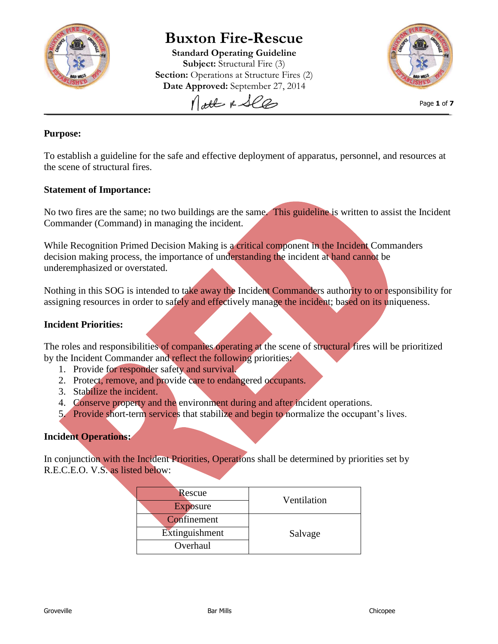

# **Buxton Fire-Rescue**

**Standard Operating Guideline Subject:** Structural Fire (3) **Section:** Operations at Structure Fires (2) **Date Approved:** September 27, 2014

Nott & See



Page **1** of **7**

## **Purpose:**

To establish a guideline for the safe and effective deployment of apparatus, personnel, and resources at the scene of structural fires.

#### **Statement of Importance:**

No two fires are the same; no two buildings are the same. This guideline is written to assist the Incident Commander (Command) in managing the incident.

While Recognition Primed Decision Making is a critical component in the Incident Commanders decision making process, the importance of understanding the incident at hand cannot be underemphasized or overstated.

Nothing in this SOG is intended to take away the Incident Commanders authority to or responsibility for assigning resources in order to safely and effectively manage the incident; based on its uniqueness.

#### **Incident Priorities:**

The roles and responsibilities of companies operating at the scene of structural fires will be prioritized by the Incident Commander and reflect the following priorities:

- 1. Provide for responder safety and survival.
- 2. Protect, remove, and provide care to endangered occupants.
- 3. Stabilize the incident.
- 4. Conserve property and the environment during and after incident operations.
- 5. Provide short-term services that stabilize and begin to normalize the occupant's lives.

#### **Incident Operations:**

In conjunction with the Incident Priorities, Operations shall be determined by priorities set by R.E.C.E.O. V.S. as listed below:

| Rescue          | Ventilation |  |
|-----------------|-------------|--|
| <b>Exposure</b> |             |  |
| Confinement     | Salvage     |  |
| Extinguishment  |             |  |
| Overhaul        |             |  |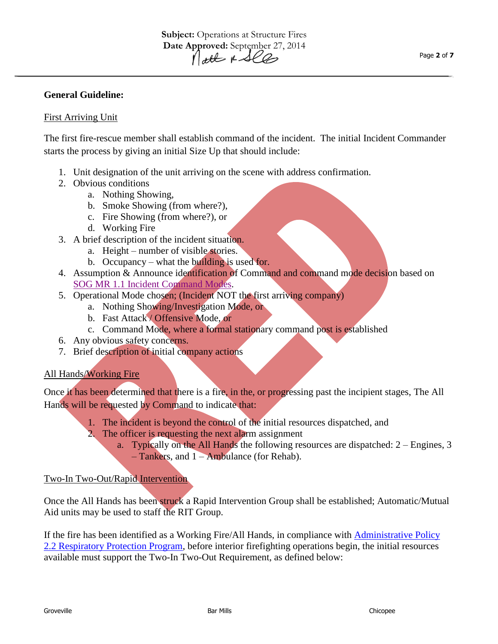#### **General Guideline:**

#### First Arriving Unit

The first fire-rescue member shall establish command of the incident. The initial Incident Commander starts the process by giving an initial Size Up that should include:

- 1. Unit designation of the unit arriving on the scene with address confirmation.
- 2. Obvious conditions
	- a. Nothing Showing,
		- b. Smoke Showing (from where?),
		- c. Fire Showing (from where?), or
		- d. Working Fire
- 3. A brief description of the incident situation.
	- a. Height number of visible stories.
	- b. Occupancy what the building is used for.
- 4. Assumption & Announce identification of Command and command mode decision based on [SOG MR 1.1 Incident](http://buxtonfr.org/wp-content/uploads/2013/10/Command-Modes.pdf) Command Modes.
- 5. Operational Mode chosen; (Incident NOT the first arriving company)
	- a. Nothing Showing/Investigation Mode, or
	- b. Fast Attack / Offensive Mode, or
	- c. Command Mode, where a formal stationary command post is established
- 6. Any obvious safety concerns.
- 7. Brief description of initial company actions

#### All Hands/Working Fire

Once it has been determined that there is a fire, in the, or progressing past the incipient stages, The All Hands will be requested by Command to indicate that:

- 1. The incident is beyond the control of the initial resources dispatched, and
- 2. The officer is requesting the next alarm assignment
	- a. Typically on the All Hands the following resources are dispatched: 2 Engines, 3 – Tankers, and 1 – Ambulance (for Rehab).

#### Two-In Two-Out/Rapid Intervention

Once the All Hands has been struck a Rapid Intervention Group shall be established; Automatic/Mutual Aid units may be used to staff the RIT Group.

If the fire has been identified as a Working Fire/All Hands, in compliance with [Administrative Policy](http://buxtonfr.org/wp-content/uploads/2013/10/Respiratory-Protection-Program-2013_782013.pdf)  [2.2 Respiratory Protection Program,](http://buxtonfr.org/wp-content/uploads/2013/10/Respiratory-Protection-Program-2013_782013.pdf) before interior firefighting operations begin, the initial resources available must support the Two-In Two-Out Requirement, as defined below: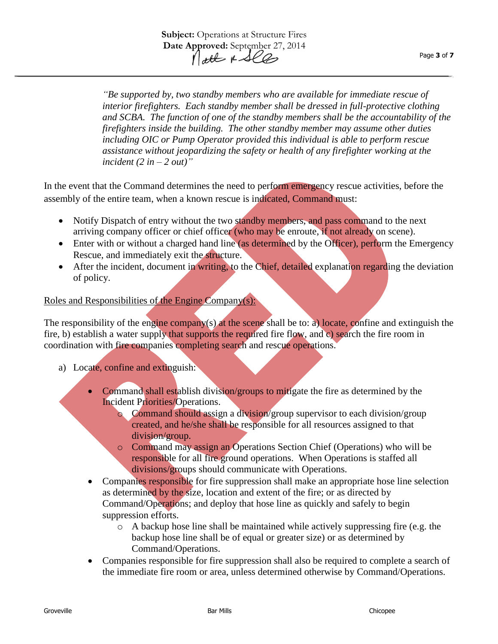*"Be supported by, two standby members who are available for immediate rescue of interior firefighters. Each standby member shall be dressed in full-protective clothing and SCBA. The function of one of the standby members shall be the accountability of the firefighters inside the building. The other standby member may assume other duties including OIC or Pump Operator provided this individual is able to perform rescue assistance without jeopardizing the safety or health of any firefighter working at the*   $incident (2 in -2 out)$ "

In the event that the Command determines the need to perform emergency rescue activities, before the assembly of the entire team, when a known rescue is indicated, Command must:

- Notify Dispatch of entry without the two standby members, and pass command to the next arriving company officer or chief officer (who may be enroute, if not already on scene).
- Enter with or without a charged hand line (as determined by the Officer), perform the Emergency Rescue, and immediately exit the structure.
- After the incident, document in writing, to the Chief, detailed explanation regarding the deviation of policy.

# Roles and Responsibilities of the Engine Company(s):

The responsibility of the engine company(s) at the scene shall be to: a) locate, confine and extinguish the fire, b) establish a water supply that supports the required fire flow, and c) search the fire room in coordination with fire companies completing search and rescue operations.

- a) Locate, confine and extinguish:
	- Command shall establish division/groups to mitigate the fire as determined by the Incident Priorities/Operations.
		- o Command should assign a division/group supervisor to each division/group created, and he/she shall be responsible for all resources assigned to that division/group.
		- o Command may assign an Operations Section Chief (Operations) who will be responsible for all fire ground operations. When Operations is staffed all divisions/groups should communicate with Operations.
	- Companies responsible for fire suppression shall make an appropriate hose line selection as determined by the size, location and extent of the fire; or as directed by Command/Operations; and deploy that hose line as quickly and safely to begin suppression efforts.
		- $\circ$  A backup hose line shall be maintained while actively suppressing fire (e.g. the backup hose line shall be of equal or greater size) or as determined by Command/Operations.
	- Companies responsible for fire suppression shall also be required to complete a search of the immediate fire room or area, unless determined otherwise by Command/Operations.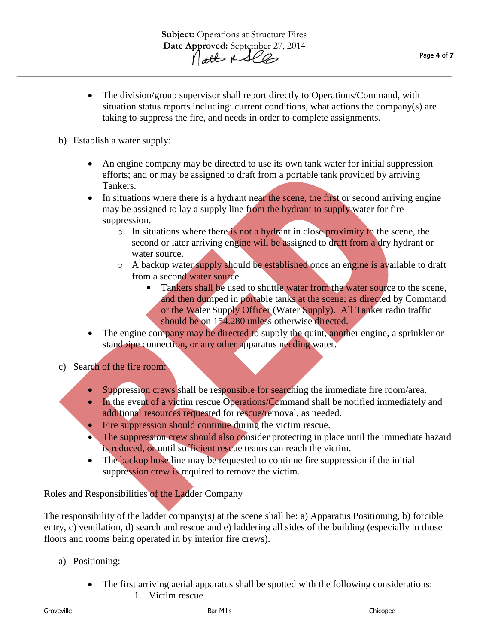- The division/group supervisor shall report directly to Operations/Command, with situation status reports including: current conditions, what actions the company(s) are taking to suppress the fire, and needs in order to complete assignments.
- b) Establish a water supply:
	- An engine company may be directed to use its own tank water for initial suppression efforts; and or may be assigned to draft from a portable tank provided by arriving Tankers.
	- In situations where there is a hydrant near the scene, the first or second arriving engine may be assigned to lay a supply line from the hydrant to supply water for fire suppression.
		- $\circ$  In situations where there is not a hydrant in close proximity to the scene, the second or later arriving engine will be assigned to draft from a dry hydrant or water source.
		- o A backup water supply should be established once an engine is available to draft from a second water source.
			- Tankers shall be used to shuttle water from the water source to the scene, and then dumped in portable tanks at the scene; as directed by Command or the Water Supply Officer (Water Supply). All Tanker radio traffic should be on 154.280 unless otherwise directed.
	- The engine company may be directed to supply the quint, another engine, a sprinkler or standpipe connection, or any other apparatus needing water.
- c) Search of the fire room:
	- Suppression crews shall be responsible for searching the immediate fire room/area.
	- In the event of a victim rescue Operations/Command shall be notified immediately and additional resources requested for rescue/removal, as needed.
	- Fire suppression should continue during the victim rescue.
	- The suppression crew should also consider protecting in place until the immediate hazard is reduced, or until sufficient rescue teams can reach the victim.
	- The backup hose line may be requested to continue fire suppression if the initial suppression crew is required to remove the victim.

# Roles and Responsibilities of the Ladder Company

The responsibility of the ladder company(s) at the scene shall be: a) Apparatus Positioning, b) forcible entry, c) ventilation, d) search and rescue and e) laddering all sides of the building (especially in those floors and rooms being operated in by interior fire crews).

- a) Positioning:
	- The first arriving aerial apparatus shall be spotted with the following considerations:
		- 1. Victim rescue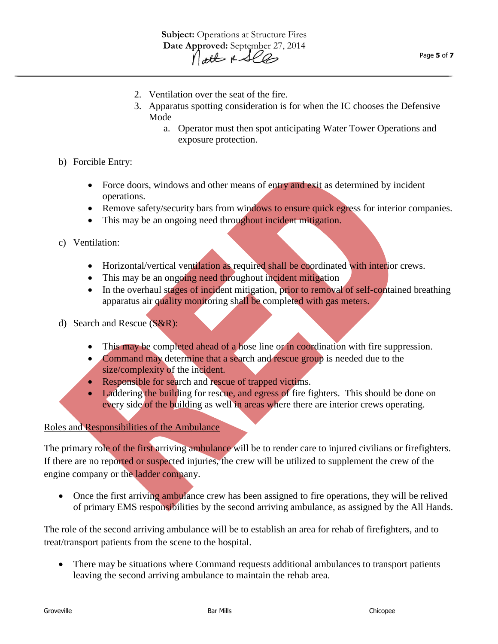- 2. Ventilation over the seat of the fire.
- 3. Apparatus spotting consideration is for when the IC chooses the Defensive Mode
	- a. Operator must then spot anticipating Water Tower Operations and exposure protection.
- b) Forcible Entry:
	- Force doors, windows and other means of entry and exit as determined by incident operations.
	- Remove safety/security bars from windows to ensure quick egress for interior companies.
	- This may be an ongoing need throughout incident mitigation.
- c) Ventilation:
	- Horizontal/vertical ventilation as required shall be coordinated with interior crews.
	- This may be an ongoing need throughout incident mitigation
	- In the overhaul stages of incident mitigation, prior to removal of self-contained breathing apparatus air quality monitoring shall be completed with gas meters.
- d) Search and Rescue (S&R):
	- This may be completed ahead of a hose line or in coordination with fire suppression.
	- Command may determine that a search and rescue group is needed due to the size/complexity of the incident.
	- Responsible for search and rescue of trapped victims.
	- Laddering the building for rescue, and egress of fire fighters. This should be done on every side of the building as well in areas where there are interior crews operating.

#### Roles and Responsibilities of the Ambulance

The primary role of the first arriving ambulance will be to render care to injured civilians or firefighters. If there are no reported or suspected injuries, the crew will be utilized to supplement the crew of the engine company or the ladder company.

• Once the first arriving ambulance crew has been assigned to fire operations, they will be relived of primary EMS responsibilities by the second arriving ambulance, as assigned by the All Hands.

The role of the second arriving ambulance will be to establish an area for rehab of firefighters, and to treat/transport patients from the scene to the hospital.

 There may be situations where Command requests additional ambulances to transport patients leaving the second arriving ambulance to maintain the rehab area.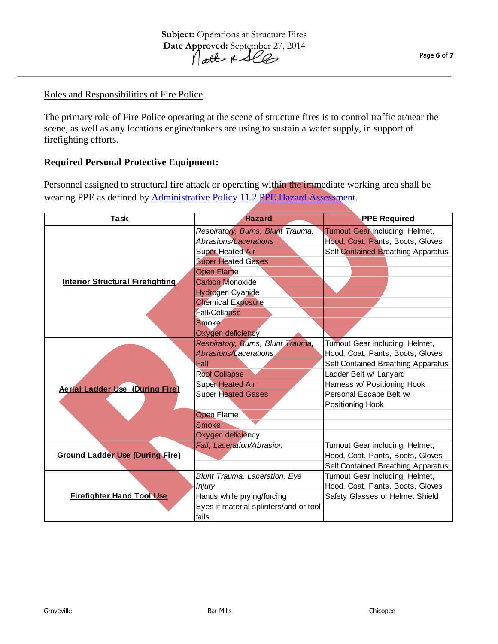## Roles and Responsibilities of Fire Police

The primary role of Fire Police operating at the scene of structure fires is to control traffic at/near the scene, as well as any locations engine/tankers are using to sustain a water supply, in support of firefighting efforts.

## **Required Personal Protective Equipment:**

Personnel assigned to structural fire attack or operating within the immediate working area shall be wearing PPE as defined by **Administrative Policy 11.2 PPE Hazard Assessment**.

| <b>Task</b>                             | <b>Hazard</b>                          | <b>PPE Required</b>                |
|-----------------------------------------|----------------------------------------|------------------------------------|
| <b>Interior Structural Firefighting</b> | Respiratory, Burns, Blunt Trauma,      | Turnout Gear including: Helmet,    |
|                                         | Abrasions/Lacerations                  | Hood, Coat, Pants, Boots, Gloves   |
|                                         | <b>Super Heated Air</b>                | Self Contained Breathing Apparatus |
|                                         | <b>Super Heated Gases</b>              |                                    |
|                                         | <b>Open Flame</b>                      |                                    |
|                                         | <b>Carbon Monoxide</b>                 |                                    |
|                                         | Hydrogen Cyanide                       |                                    |
|                                         | <b>Chemical Exposure</b>               |                                    |
|                                         | <b>Fall/Collapse</b>                   |                                    |
|                                         | <b>Smoke</b>                           |                                    |
|                                         | Oxygen deficiency                      |                                    |
|                                         | Respiratory, Burns, Blunt Trauma,      | Turnout Gear including: Helmet,    |
|                                         | Abrasions/Lacerations                  | Hood, Coat, Pants, Boots, Gloves   |
| <b>Aerial Ladder Use (During Fire)</b>  | Fall                                   | Self Contained Breathing Apparatus |
|                                         | <b>Roof Collapse</b>                   | Ladder Belt w/ Lanyard             |
|                                         | <b>Super Heated Air</b>                | Harness w/ Positioning Hook        |
|                                         | <b>Super Heated Gases</b>              | Personal Escape Belt w/            |
|                                         |                                        | Positioning Hook                   |
|                                         | <b>Open Flame</b>                      |                                    |
|                                         | <b>Smoke</b>                           |                                    |
|                                         | Oxygen deficiency                      |                                    |
| <b>Ground Ladder Use (During Fire)</b>  | Fall, Laceration/Abrasion              | Turnout Gear including: Helmet,    |
|                                         |                                        | Hood, Coat, Pants, Boots, Gloves   |
|                                         |                                        | Self Contained Breathing Apparatus |
| <b>Firefighter Hand Tool Use</b>        | Blunt Trauma, Laceration, Eye          | Turnout Gear including: Helmet,    |
|                                         | <i>Injury</i>                          | Hood, Coat, Pants, Boots, Gloves   |
|                                         | Hands while prying/forcing             | Safety Glasses or Helmet Shield    |
|                                         | Eyes if material splinters/and or tool |                                    |
|                                         | fails                                  |                                    |